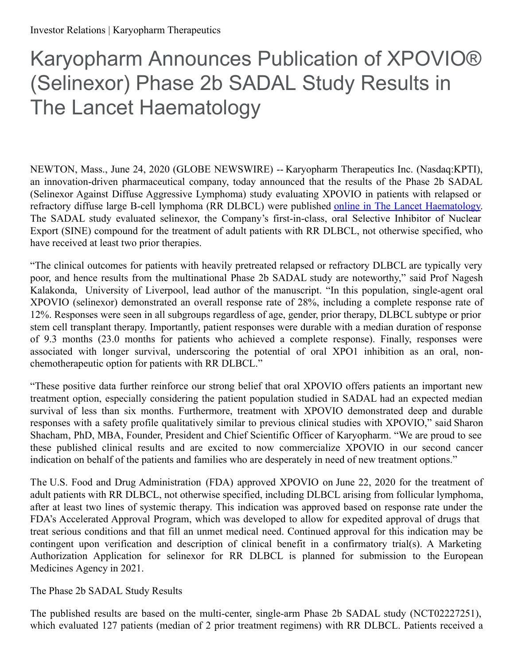# Karyopharm Announces Publication of XPOVIO® (Selinexor) Phase 2b SADAL Study Results in The Lancet Haematology

NEWTON, Mass., June 24, 2020 (GLOBE NEWSWIRE) -- Karyopharm Therapeutics Inc. (Nasdaq:KPTI), an innovation-driven pharmaceutical company, today announced that the results of the Phase 2b SADAL (Selinexor Against Diffuse Aggressive Lymphoma) study evaluating XPOVIO in patients with relapsed or refractory diffuse large B-cell lymphoma (RR DLBCL) were published online in The Lancet [Haematology](https://www.globenewswire.com/Tracker?data=VawcMxKGSMsGHJphKWmZt8b0O9n5lUulKcbctfHzcUmvL5kbfGLkUP9BhLICLyuImMJ4yvHNG9Xg1qHopIJ7X-7whrWedPQILYlnCuWGR_L5E5eefLkbvv4a7C36Rc-p0LAYhCnr5jiNbyghXNyv_O78FklRapalzOHvh2KuQwE=). The SADAL study evaluated selinexor, the Company's first-in-class, oral Selective Inhibitor of Nuclear Export (SINE) compound for the treatment of adult patients with RR DLBCL, not otherwise specified, who have received at least two prior therapies.

"The clinical outcomes for patients with heavily pretreated relapsed or refractory DLBCL are typically very poor, and hence results from the multinational Phase 2b SADAL study are noteworthy," said Prof Nagesh Kalakonda, University of Liverpool, lead author of the manuscript. "In this population, single-agent oral XPOVIO (selinexor) demonstrated an overall response rate of 28%, including a complete response rate of 12%. Responses were seen in all subgroups regardless of age, gender, prior therapy, DLBCL subtype or prior stem cell transplant therapy. Importantly, patient responses were durable with a median duration of response of 9.3 months (23.0 months for patients who achieved a complete response). Finally, responses were associated with longer survival, underscoring the potential of oral XPO1 inhibition as an oral, nonchemotherapeutic option for patients with RR DLBCL."

"These positive data further reinforce our strong belief that oral XPOVIO offers patients an important new treatment option, especially considering the patient population studied in SADAL had an expected median survival of less than six months. Furthermore, treatment with XPOVIO demonstrated deep and durable responses with a safety profile qualitatively similar to previous clinical studies with XPOVIO," said Sharon Shacham, PhD, MBA, Founder, President and Chief Scientific Officer of Karyopharm. "We are proud to see these published clinical results and are excited to now commercialize XPOVIO in our second cancer indication on behalf of the patients and families who are desperately in need of new treatment options."

The U.S. Food and Drug Administration (FDA) approved XPOVIO on June 22, 2020 for the treatment of adult patients with RR DLBCL, not otherwise specified, including DLBCL arising from follicular lymphoma, after at least two lines of systemic therapy. This indication was approved based on response rate under the FDA's Accelerated Approval Program, which was developed to allow for expedited approval of drugs that treat serious conditions and that fill an unmet medical need. Continued approval for this indication may be contingent upon verification and description of clinical benefit in a confirmatory trial(s). A Marketing Authorization Application for selinexor for RR DLBCL is planned for submission to the European Medicines Agency in 2021.

The Phase 2b SADAL Study Results

The published results are based on the multi-center, single-arm Phase 2b SADAL study (NCT02227251), which evaluated 127 patients (median of 2 prior treatment regimens) with RR DLBCL. Patients received a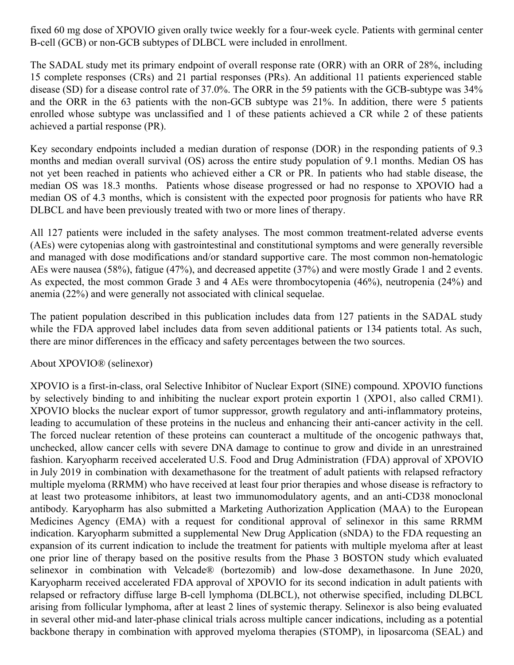fixed 60 mg dose of XPOVIO given orally twice weekly for a four-week cycle. Patients with germinal center B-cell (GCB) or non-GCB subtypes of DLBCL were included in enrollment.

The SADAL study met its primary endpoint of overall response rate (ORR) with an ORR of 28%, including 15 complete responses (CRs) and 21 partial responses (PRs). An additional 11 patients experienced stable disease (SD) for a disease control rate of 37.0%. The ORR in the 59 patients with the GCB-subtype was 34% and the ORR in the 63 patients with the non-GCB subtype was 21%. In addition, there were 5 patients enrolled whose subtype was unclassified and 1 of these patients achieved a CR while 2 of these patients achieved a partial response (PR).

Key secondary endpoints included a median duration of response (DOR) in the responding patients of 9.3 months and median overall survival (OS) across the entire study population of 9.1 months. Median OS has not yet been reached in patients who achieved either a CR or PR. In patients who had stable disease, the median OS was 18.3 months. Patients whose disease progressed or had no response to XPOVIO had a median OS of 4.3 months, which is consistent with the expected poor prognosis for patients who have RR DLBCL and have been previously treated with two or more lines of therapy.

All 127 patients were included in the safety analyses. The most common treatment-related adverse events (AEs) were cytopenias along with gastrointestinal and constitutional symptoms and were generally reversible and managed with dose modifications and/or standard supportive care. The most common non-hematologic AEs were nausea (58%), fatigue (47%), and decreased appetite (37%) and were mostly Grade 1 and 2 events. As expected, the most common Grade 3 and 4 AEs were thrombocytopenia (46%), neutropenia (24%) and anemia (22%) and were generally not associated with clinical sequelae.

The patient population described in this publication includes data from 127 patients in the SADAL study while the FDA approved label includes data from seven additional patients or 134 patients total. As such, there are minor differences in the efficacy and safety percentages between the two sources.

#### About XPOVIO® (selinexor)

XPOVIO is a first-in-class, oral Selective Inhibitor of Nuclear Export (SINE) compound. XPOVIO functions by selectively binding to and inhibiting the nuclear export protein exportin 1 (XPO1, also called CRM1). XPOVIO blocks the nuclear export of tumor suppressor, growth regulatory and anti-inflammatory proteins, leading to accumulation of these proteins in the nucleus and enhancing their anti-cancer activity in the cell. The forced nuclear retention of these proteins can counteract a multitude of the oncogenic pathways that, unchecked, allow cancer cells with severe DNA damage to continue to grow and divide in an unrestrained fashion. Karyopharm received accelerated U.S. Food and Drug Administration (FDA) approval of XPOVIO in July 2019 in combination with dexamethasone for the treatment of adult patients with relapsed refractory multiple myeloma (RRMM) who have received at least four prior therapies and whose disease is refractory to at least two proteasome inhibitors, at least two immunomodulatory agents, and an anti-CD38 monoclonal antibody. Karyopharm has also submitted a Marketing Authorization Application (MAA) to the European Medicines Agency (EMA) with a request for conditional approval of selinexor in this same RRMM indication. Karyopharm submitted a supplemental New Drug Application (sNDA) to the FDA requesting an expansion of its current indication to include the treatment for patients with multiple myeloma after at least one prior line of therapy based on the positive results from the Phase 3 BOSTON study which evaluated selinexor in combination with Velcade® (bortezomib) and low-dose dexamethasone. In June 2020, Karyopharm received accelerated FDA approval of XPOVIO for its second indication in adult patients with relapsed or refractory diffuse large B-cell lymphoma (DLBCL), not otherwise specified, including DLBCL arising from follicular lymphoma, after at least 2 lines of systemic therapy. Selinexor is also being evaluated in several other mid-and later-phase clinical trials across multiple cancer indications, including as a potential backbone therapy in combination with approved myeloma therapies (STOMP), in liposarcoma (SEAL) and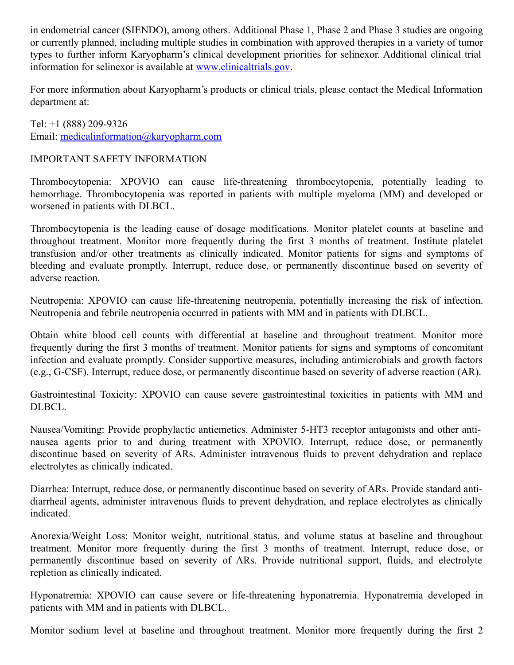in endometrial cancer (SIENDO), among others. Additional Phase 1, Phase 2 and Phase 3 studies are ongoing or currently planned, including multiple studies in combination with approved therapies in a variety of tumor types to further inform Karyopharm's clinical development priorities for selinexor. Additional clinical trial information for selinexor is available at [www.clinicaltrials.gov](http://www.clinicaltrials.gov/).

For more information about Karyopharm's products or clinical trials, please contact the Medical Information department at:

Tel: +1 (888) 209-9326 Email: [medicalinformation@karyopharm.com](mailto:medicalinformation@karyopharm.com)

## IMPORTANT SAFETY INFORMATION

Thrombocytopenia: XPOVIO can cause life-threatening thrombocytopenia, potentially leading to hemorrhage. Thrombocytopenia was reported in patients with multiple myeloma (MM) and developed or worsened in patients with DLBCL.

Thrombocytopenia is the leading cause of dosage modifications. Monitor platelet counts at baseline and throughout treatment. Monitor more frequently during the first 3 months of treatment. Institute platelet transfusion and/or other treatments as clinically indicated. Monitor patients for signs and symptoms of bleeding and evaluate promptly. Interrupt, reduce dose, or permanently discontinue based on severity of adverse reaction.

Neutropenia: XPOVIO can cause life-threatening neutropenia, potentially increasing the risk of infection. Neutropenia and febrile neutropenia occurred in patients with MM and in patients with DLBCL.

Obtain white blood cell counts with differential at baseline and throughout treatment. Monitor more frequently during the first 3 months of treatment. Monitor patients for signs and symptoms of concomitant infection and evaluate promptly. Consider supportive measures, including antimicrobials and growth factors (e.g., G-CSF). Interrupt, reduce dose, or permanently discontinue based on severity of adverse reaction (AR).

Gastrointestinal Toxicity: XPOVIO can cause severe gastrointestinal toxicities in patients with MM and DLBCL.

Nausea/Vomiting: Provide prophylactic antiemetics. Administer 5-HT3 receptor antagonists and other antinausea agents prior to and during treatment with XPOVIO. Interrupt, reduce dose, or permanently discontinue based on severity of ARs. Administer intravenous fluids to prevent dehydration and replace electrolytes as clinically indicated.

Diarrhea: Interrupt, reduce dose, or permanently discontinue based on severity of ARs. Provide standard antidiarrheal agents, administer intravenous fluids to prevent dehydration, and replace electrolytes as clinically indicated.

Anorexia/Weight Loss: Monitor weight, nutritional status, and volume status at baseline and throughout treatment. Monitor more frequently during the first 3 months of treatment. Interrupt, reduce dose, or permanently discontinue based on severity of ARs. Provide nutritional support, fluids, and electrolyte repletion as clinically indicated.

Hyponatremia: XPOVIO can cause severe or life-threatening hyponatremia. Hyponatremia developed in patients with MM and in patients with DLBCL.

Monitor sodium level at baseline and throughout treatment. Monitor more frequently during the first 2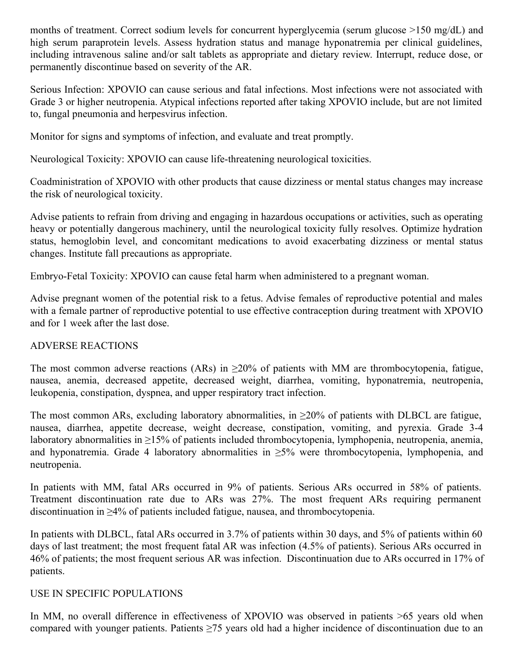months of treatment. Correct sodium levels for concurrent hyperglycemia (serum glucose >150 mg/dL) and high serum paraprotein levels. Assess hydration status and manage hyponatremia per clinical guidelines, including intravenous saline and/or salt tablets as appropriate and dietary review. Interrupt, reduce dose, or permanently discontinue based on severity of the AR.

Serious Infection: XPOVIO can cause serious and fatal infections. Most infections were not associated with Grade 3 or higher neutropenia. Atypical infections reported after taking XPOVIO include, but are not limited to, fungal pneumonia and herpesvirus infection.

Monitor for signs and symptoms of infection, and evaluate and treat promptly.

Neurological Toxicity: XPOVIO can cause life-threatening neurological toxicities.

Coadministration of XPOVIO with other products that cause dizziness or mental status changes may increase the risk of neurological toxicity.

Advise patients to refrain from driving and engaging in hazardous occupations or activities, such as operating heavy or potentially dangerous machinery, until the neurological toxicity fully resolves. Optimize hydration status, hemoglobin level, and concomitant medications to avoid exacerbating dizziness or mental status changes. Institute fall precautions as appropriate.

Embryo-Fetal Toxicity: XPOVIO can cause fetal harm when administered to a pregnant woman.

Advise pregnant women of the potential risk to a fetus. Advise females of reproductive potential and males with a female partner of reproductive potential to use effective contraception during treatment with XPOVIO and for 1 week after the last dose.

#### ADVERSE REACTIONS

The most common adverse reactions (ARs) in  $\geq$ 20% of patients with MM are thrombocytopenia, fatigue, nausea, anemia, decreased appetite, decreased weight, diarrhea, vomiting, hyponatremia, neutropenia, leukopenia, constipation, dyspnea, and upper respiratory tract infection.

The most common ARs, excluding laboratory abnormalities, in  $\geq$ 20% of patients with DLBCL are fatigue, nausea, diarrhea, appetite decrease, weight decrease, constipation, vomiting, and pyrexia. Grade 3-4 laboratory abnormalities in ≥15% of patients included thrombocytopenia, lymphopenia, neutropenia, anemia, and hyponatremia. Grade 4 laboratory abnormalities in  $\geq$ 5% were thrombocytopenia, lymphopenia, and neutropenia.

In patients with MM, fatal ARs occurred in 9% of patients. Serious ARs occurred in 58% of patients. Treatment discontinuation rate due to ARs was 27%. The most frequent ARs requiring permanent discontinuation in ≥4% of patients included fatigue, nausea, and thrombocytopenia.

In patients with DLBCL, fatal ARs occurred in 3.7% of patients within 30 days, and 5% of patients within 60 days of last treatment; the most frequent fatal AR was infection (4.5% of patients). Serious ARs occurred in 46% of patients; the most frequent serious AR was infection. Discontinuation due to ARs occurred in 17% of patients.

## USE IN SPECIFIC POPULATIONS

In MM, no overall difference in effectiveness of XPOVIO was observed in patients  $>65$  years old when compared with younger patients. Patients ≥75 years old had a higher incidence of discontinuation due to an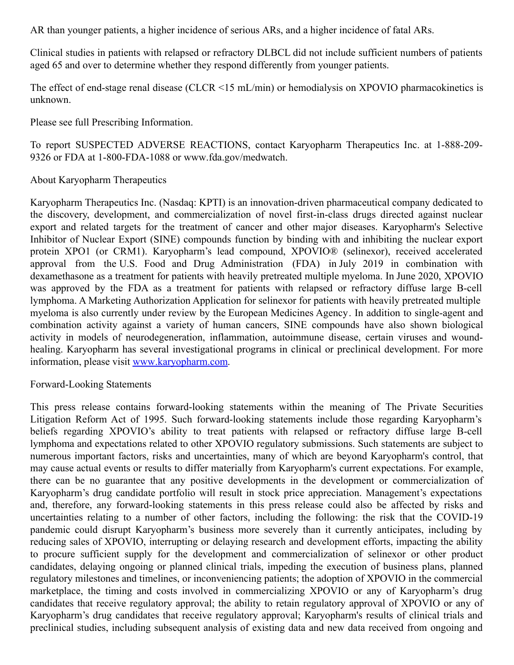AR than younger patients, a higher incidence of serious ARs, and a higher incidence of fatal ARs.

Clinical studies in patients with relapsed or refractory DLBCL did not include sufficient numbers of patients aged 65 and over to determine whether they respond differently from younger patients.

The effect of end-stage renal disease (CLCR <15 mL/min) or hemodialysis on XPOVIO pharmacokinetics is unknown.

Please see full Prescribing Information.

To report SUSPECTED ADVERSE REACTIONS, contact Karyopharm Therapeutics Inc. at 1-888-209- 9326 or FDA at 1-800-FDA-1088 or www.fda.gov/medwatch.

### About Karyopharm Therapeutics

Karyopharm Therapeutics Inc. (Nasdaq: KPTI) is an innovation-driven pharmaceutical company dedicated to the discovery, development, and commercialization of novel first-in-class drugs directed against nuclear export and related targets for the treatment of cancer and other major diseases. Karyopharm's Selective Inhibitor of Nuclear Export (SINE) compounds function by binding with and inhibiting the nuclear export protein XPO1 (or CRM1). Karyopharm's lead compound, XPOVIO® (selinexor), received accelerated approval from the U.S. Food and Drug Administration (FDA) in July 2019 in combination with dexamethasone as a treatment for patients with heavily pretreated multiple myeloma. In June 2020, XPOVIO was approved by the FDA as a treatment for patients with relapsed or refractory diffuse large B-cell lymphoma. A Marketing Authorization Application for selinexor for patients with heavily pretreated multiple myeloma is also currently under review by the European Medicines Agency. In addition to single-agent and combination activity against a variety of human cancers, SINE compounds have also shown biological activity in models of neurodegeneration, inflammation, autoimmune disease, certain viruses and woundhealing. Karyopharm has several investigational programs in clinical or preclinical development. For more information, please visit [www.karyopharm.com](http://www.karyopharm.com/).

#### Forward-Looking Statements

This press release contains forward-looking statements within the meaning of The Private Securities Litigation Reform Act of 1995. Such forward-looking statements include those regarding Karyopharm's beliefs regarding XPOVIO's ability to treat patients with relapsed or refractory diffuse large B-cell lymphoma and expectations related to other XPOVIO regulatory submissions. Such statements are subject to numerous important factors, risks and uncertainties, many of which are beyond Karyopharm's control, that may cause actual events or results to differ materially from Karyopharm's current expectations. For example, there can be no guarantee that any positive developments in the development or commercialization of Karyopharm's drug candidate portfolio will result in stock price appreciation. Management's expectations and, therefore, any forward-looking statements in this press release could also be affected by risks and uncertainties relating to a number of other factors, including the following: the risk that the COVID-19 pandemic could disrupt Karyopharm's business more severely than it currently anticipates, including by reducing sales of XPOVIO, interrupting or delaying research and development efforts, impacting the ability to procure sufficient supply for the development and commercialization of selinexor or other product candidates, delaying ongoing or planned clinical trials, impeding the execution of business plans, planned regulatory milestones and timelines, or inconveniencing patients; the adoption of XPOVIO in the commercial marketplace, the timing and costs involved in commercializing XPOVIO or any of Karyopharm's drug candidates that receive regulatory approval; the ability to retain regulatory approval of XPOVIO or any of Karyopharm's drug candidates that receive regulatory approval; Karyopharm's results of clinical trials and preclinical studies, including subsequent analysis of existing data and new data received from ongoing and